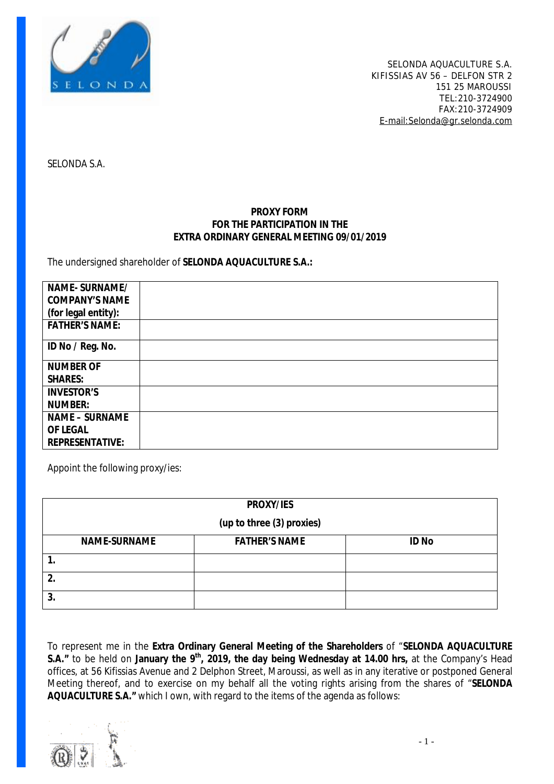

SELONDA S.A.

### **PROXY FORM FOR THE PARTICIPATION IN THE EXTRA ORDINARY GENERAL MEETING 09/01/2019**

#### The undersigned shareholder of **SELONDA AQUACULTURE S.A.:**

| NAME-SURNAME/         |  |
|-----------------------|--|
| <b>COMPANY'S NAME</b> |  |
| (for legal entity):   |  |
| <b>FATHER'S NAME:</b> |  |
| ID No / Reg. No.      |  |
| <b>NUMBER OF</b>      |  |
| <b>SHARES:</b>        |  |
| <b>INVESTOR'S</b>     |  |
| <b>NUMBER:</b>        |  |
| <b>NAME - SURNAME</b> |  |
| OF LEGAL              |  |
| REPRESENTATIVE:       |  |

Appoint the following proxy/ies:

| PROXY/IES                 |                      |              |  |  |  |  |
|---------------------------|----------------------|--------------|--|--|--|--|
| (up to three (3) proxies) |                      |              |  |  |  |  |
| <b>NAME-SURNAME</b>       | <b>FATHER'S NAME</b> | <b>ID No</b> |  |  |  |  |
|                           |                      |              |  |  |  |  |
| 2.                        |                      |              |  |  |  |  |
| 3.                        |                      |              |  |  |  |  |

To represent me in the **Extra Ordinary General Meeting of the Shareholders** of "**SELONDA AQUACULTURE S.A."** to be held on **January the 9th , 2019, the day being Wednesday at 14.00 hrs,** at the Company's Head offices, at 56 Kifissias Avenue and 2 Delphon Street, Maroussi, as well as in any iterative or postponed General Meeting thereof, and to exercise on my behalf all the voting rights arising from the shares of "**SELONDA AQUACULTURE S.A."** which I own, with regard to the items of the agenda as follows:

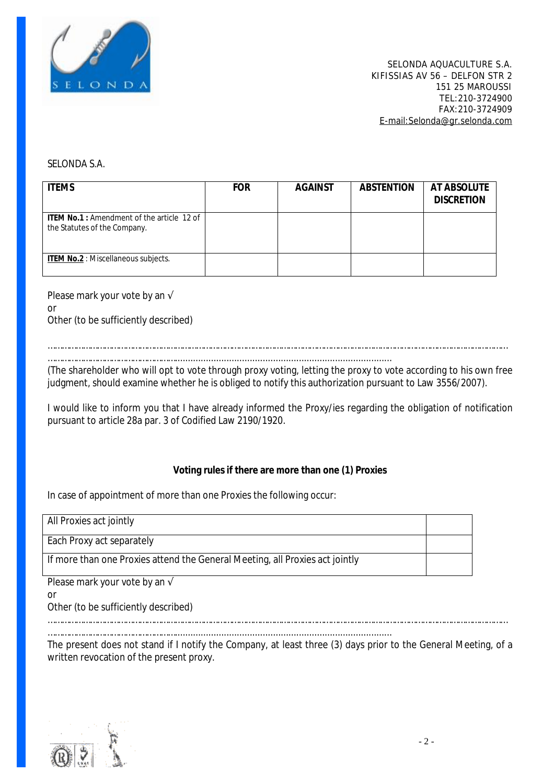

SELONDA S.A.

| <b>ITEMS</b>                                                               | <b>FOR</b> | <b>AGAINST</b> | <b>ABSTENTION</b> | AT ABSOLUTE<br><b>DISCRETION</b> |
|----------------------------------------------------------------------------|------------|----------------|-------------------|----------------------------------|
| ITEM No.1 : Amendment of the article 12 of<br>the Statutes of the Company. |            |                |                   |                                  |
| ITEM No.2 : Miscellaneous subjects.                                        |            |                |                   |                                  |

Please mark your vote by an √ or Other (to be sufficiently described)

……………………………………………………………………………………………………………………………………………………………………………

………………………………………………....................................................................................

(The shareholder who will opt to vote through proxy voting, letting the proxy to vote according to his own free judgment, should examine whether he is obliged to notify this authorization pursuant to Law 3556/2007).

I would like to inform you that I have already informed the Proxy/ies regarding the obligation of notification pursuant to article 28a par. 3 of Codified Law 2190/1920.

#### **Voting rules if there are more than one (1) Proxies**

In case of appointment of more than one Proxies the following occur:

………………………………………………....................................................................................

| All Proxies act jointly                                                      |  |  |
|------------------------------------------------------------------------------|--|--|
| Each Proxy act separately                                                    |  |  |
| If more than one Proxies attend the General Meeting, all Proxies act jointly |  |  |
| Please mark your vote by an $\sqrt{ }$                                       |  |  |
| or                                                                           |  |  |

Other (to be sufficiently described)

……………………………………………………………………………………………………………………………………………………………………………

The present does not stand if I notify the Company, at least three (3) days prior to the General Meeting, of a written revocation of the present proxy.